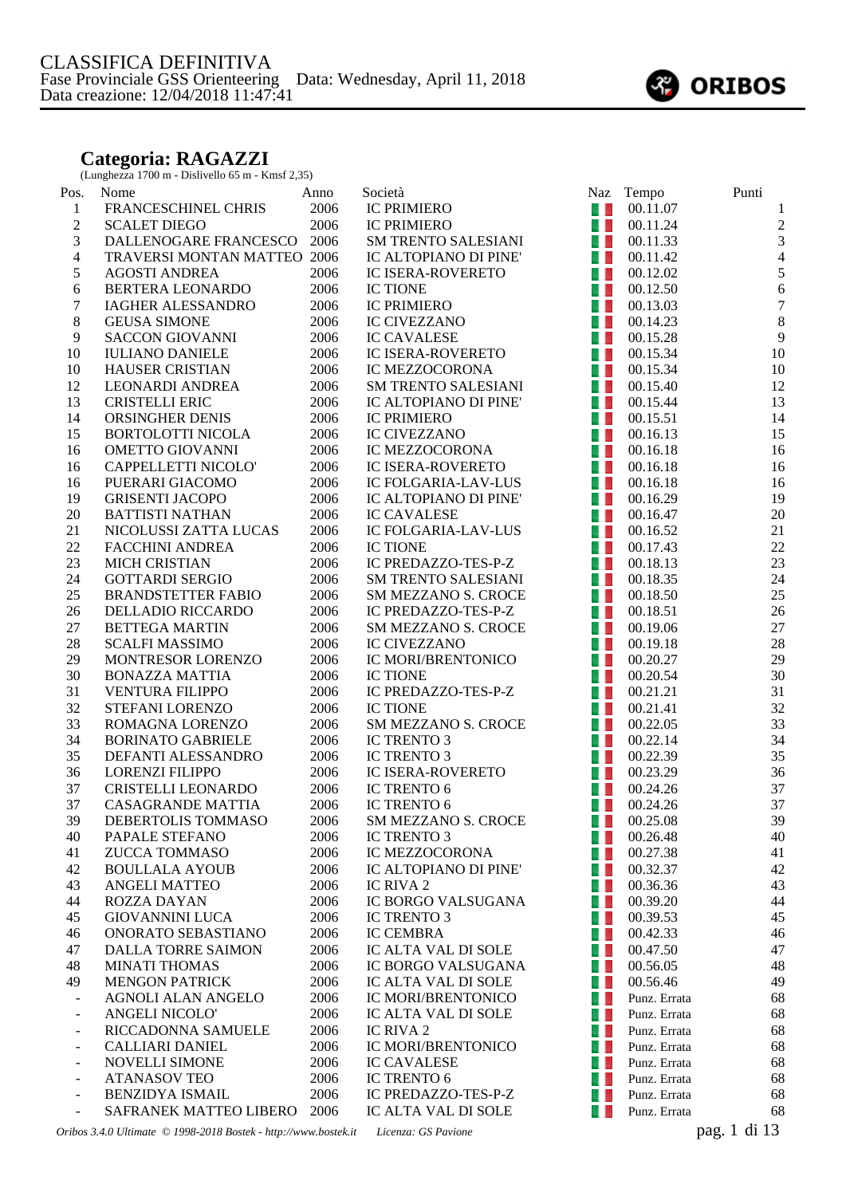### **Categoria: RAGAZZI**

(Lunghezza 1700 m - Dislivello 65 m - Kmsf 2,35)

|                          | $\text{LunginZza 1700 m}$ - Disnvello 05 m - Kinsi 2,337 |      |                            |                |              |                             |
|--------------------------|----------------------------------------------------------|------|----------------------------|----------------|--------------|-----------------------------|
| Pos.                     | Nome                                                     | Anno | Società                    |                | Naz Tempo    | Punti                       |
| $\mathbf{1}$             | FRANCESCHINEL CHRIS                                      | 2006 | <b>IC PRIMIERO</b>         | a L            | 00.11.07     | $\mathbf{1}$                |
| $\boldsymbol{2}$         | <b>SCALET DIEGO</b>                                      | 2006 | <b>IC PRIMIERO</b>         | A.             | 00.11.24     | $\sqrt{2}$                  |
| 3                        | DALLENOGARE FRANCESCO                                    | 2006 | <b>SM TRENTO SALESIANI</b> | 41             | 00.11.33     | $\ensuremath{\mathfrak{Z}}$ |
| $\overline{4}$           | TRAVERSI MONTAN MATTEO 2006                              |      | IC ALTOPIANO DI PINE'      | 40             | 00.11.42     | $\overline{4}$              |
| 5                        | <b>AGOSTI ANDREA</b>                                     | 2006 | <b>IC ISERA-ROVERETO</b>   | $\blacksquare$ | 00.12.02     | 5                           |
| 6                        | BERTERA LEONARDO                                         | 2006 | <b>IC TIONE</b>            | $\blacksquare$ | 00.12.50     | $\sqrt{6}$                  |
| $\boldsymbol{7}$         | <b>IAGHER ALESSANDRO</b>                                 | 2006 | <b>IC PRIMIERO</b>         | a L            | 00.13.03     | $\overline{7}$              |
| $8\,$                    | <b>GEUSA SIMONE</b>                                      | 2006 | <b>IC CIVEZZANO</b>        | A. L           | 00.14.23     | $\, 8$                      |
| 9                        | <b>SACCON GIOVANNI</b>                                   | 2006 | <b>IC CAVALESE</b>         | a L            | 00.15.28     | 9                           |
| 10                       | <b>IULIANO DANIELE</b>                                   | 2006 | <b>IC ISERA-ROVERETO</b>   | a L            | 00.15.34     | 10                          |
| 10                       | <b>HAUSER CRISTIAN</b>                                   | 2006 | IC MEZZOCORONA             | 41             | 00.15.34     | 10                          |
| 12                       | <b>LEONARDI ANDREA</b>                                   | 2006 | <b>SM TRENTO SALESIANI</b> | 41             | 00.15.40     | 12                          |
| 13                       | <b>CRISTELLI ERIC</b>                                    | 2006 | IC ALTOPIANO DI PINE'      | $\blacksquare$ | 00.15.44     | 13                          |
| 14                       | ORSINGHER DENIS                                          | 2006 | <b>IC PRIMIERO</b>         | 40             | 00.15.51     | 14                          |
| 15                       | <b>BORTOLOTTI NICOLA</b>                                 | 2006 | <b>IC CIVEZZANO</b>        | 40             | 00.16.13     | 15                          |
| 16                       | OMETTO GIOVANNI                                          | 2006 | IC MEZZOCORONA             | a L            | 00.16.18     | 16                          |
| 16                       | CAPPELLETTI NICOLO'                                      | 2006 | <b>IC ISERA-ROVERETO</b>   | a L            | 00.16.18     | 16                          |
| 16                       | PUERARI GIACOMO                                          | 2006 | IC FOLGARIA-LAV-LUS        | u.             | 00.16.18     | 16                          |
| 19                       | <b>GRISENTI JACOPO</b>                                   | 2006 | IC ALTOPIANO DI PINE'      | a L            | 00.16.29     | 19                          |
| $20\,$                   | <b>BATTISTI NATHAN</b>                                   | 2006 | <b>IC CAVALESE</b>         | a L            | 00.16.47     | 20                          |
| 21                       | NICOLUSSI ZATTA LUCAS                                    | 2006 | IC FOLGARIA-LAV-LUS        | 41             | 00.16.52     | 21                          |
| $22\,$                   | <b>FACCHINI ANDREA</b>                                   | 2006 | <b>IC TIONE</b>            | $\blacksquare$ | 00.17.43     | 22                          |
| 23                       | MICH CRISTIAN                                            | 2006 | IC PREDAZZO-TES-P-Z        | 40             | 00.18.13     | 23                          |
| 24                       | <b>GOTTARDI SERGIO</b>                                   | 2006 | <b>SM TRENTO SALESIANI</b> | 40             | 00.18.35     | 24                          |
| 25                       | <b>BRANDSTETTER FABIO</b>                                | 2006 | SM MEZZANO S. CROCE        | a L            | 00.18.50     | 25                          |
| 26                       | DELLADIO RICCARDO                                        | 2006 | IC PREDAZZO-TES-P-Z        | u.             | 00.18.51     | 26                          |
| 27                       | <b>BETTEGA MARTIN</b>                                    | 2006 | SM MEZZANO S. CROCE        | u L            | 00.19.06     | 27                          |
| $28\,$                   | <b>SCALFI MASSIMO</b>                                    | 2006 | <b>IC CIVEZZANO</b>        | a L            | 00.19.18     | 28                          |
| 29                       | MONTRESOR LORENZO                                        | 2006 | IC MORI/BRENTONICO         | 41             | 00.20.27     | 29                          |
| 30                       | <b>BONAZZA MATTIA</b>                                    | 2006 | <b>IC TIONE</b>            | 41             | 00.20.54     | 30                          |
| 31                       | <b>VENTURA FILIPPO</b>                                   | 2006 | IC PREDAZZO-TES-P-Z        | 41             | 00.21.21     | 31                          |
| 32                       | STEFANI LORENZO                                          | 2006 | <b>IC TIONE</b>            | 41             | 00.21.41     | 32                          |
| 33                       | ROMAGNA LORENZO                                          | 2006 | SM MEZZANO S. CROCE        | 41             | 00.22.05     | 33                          |
| 34                       | <b>BORINATO GABRIELE</b>                                 | 2006 | IC TRENTO 3                | a L            | 00.22.14     | 34                          |
| 35                       | DEFANTI ALESSANDRO                                       | 2006 | IC TRENTO 3                | a.             | 00.22.39     | 35                          |
| 36                       | <b>LORENZI FILIPPO</b>                                   | 2006 | <b>IC ISERA-ROVERETO</b>   | A.             | 00.23.29     | 36                          |
| 37                       | CRISTELLI LEONARDO                                       | 2006 | IC TRENTO 6                | 41             | 00.24.26     | 37                          |
| 37                       | CASAGRANDE MATTIA                                        | 2006 | IC TRENTO 6                | 41             | 00.24.26     | 37                          |
| 39                       | DEBERTOLIS TOMMASO                                       | 2006 | SM MEZZANO S. CROCE        | ш.             | 00.25.08     | 39                          |
| 40                       | PAPALE STEFANO                                           | 2006 | IC TRENTO 3                | U              | 00.26.48     | 40                          |
| 41                       | <b>ZUCCA TOMMASO</b>                                     | 2006 | IC MEZZOCORONA             | w              | 00.27.38     | 41                          |
| 42                       | <b>BOULLALA AYOUB</b>                                    | 2006 | IC ALTOPIANO DI PINE'      | a. L           | 00.32.37     | 42                          |
| 43                       | <b>ANGELI MATTEO</b>                                     | 2006 | IC RIVA 2                  | w              | 00.36.36     | 43                          |
| 44                       | <b>ROZZA DAYAN</b>                                       | 2006 | <b>IC BORGO VALSUGANA</b>  | w              | 00.39.20     | 44                          |
| 45                       | <b>GIOVANNINI LUCA</b>                                   | 2006 | IC TRENTO 3                | w              | 00.39.53     | 45                          |
| 46                       | ONORATO SEBASTIANO                                       | 2006 | <b>IC CEMBRA</b>           | . .            | 00.42.33     | 46                          |
| 47                       | DALLA TORRE SAIMON                                       | 2006 | IC ALTA VAL DI SOLE        | w              | 00.47.50     | 47                          |
| 48                       | <b>MINATI THOMAS</b>                                     | 2006 | <b>IC BORGO VALSUGANA</b>  | w              | 00.56.05     | 48                          |
| 49                       | <b>MENGON PATRICK</b>                                    | 2006 | IC ALTA VAL DI SOLE        | w              | 00.56.46     | 49                          |
| $\blacksquare$           | AGNOLI ALAN ANGELO                                       | 2006 | IC MORI/BRENTONICO         | - 1            | Punz. Errata | 68                          |
| $\overline{\phantom{a}}$ | <b>ANGELI NICOLO'</b>                                    | 2006 | IC ALTA VAL DI SOLE        | 6 H            | Punz. Errata | 68                          |
| $\overline{\phantom{a}}$ | RICCADONNA SAMUELE                                       | 2006 | IC RIVA 2                  | . .            | Punz. Errata | 68                          |
| $\overline{\phantom{a}}$ | <b>CALLIARI DANIEL</b>                                   | 2006 | <b>IC MORI/BRENTONICO</b>  | w              | Punz. Errata | 68                          |
| $\overline{\phantom{a}}$ | NOVELLI SIMONE                                           | 2006 | <b>IC CAVALESE</b>         | a ka           | Punz. Errata | 68                          |
| $\overline{\phantom{a}}$ | <b>ATANASOV TEO</b>                                      | 2006 | IC TRENTO 6                | w              | Punz. Errata | 68                          |
| $\overline{\phantom{a}}$ | <b>BENZIDYA ISMAIL</b>                                   | 2006 | IC PREDAZZO-TES-P-Z        | w              | Punz. Errata | 68                          |
| $\overline{\phantom{a}}$ | SAFRANEK MATTEO LIBERO                                   | 2006 | IC ALTA VAL DI SOLE        | u.             | Punz. Errata | 68                          |

*Oribos 3.4.0 Ultimate © 1998-2018 Bostek - http://www.bostek.it Licenza: GS Pavione* pag. 1 di 13

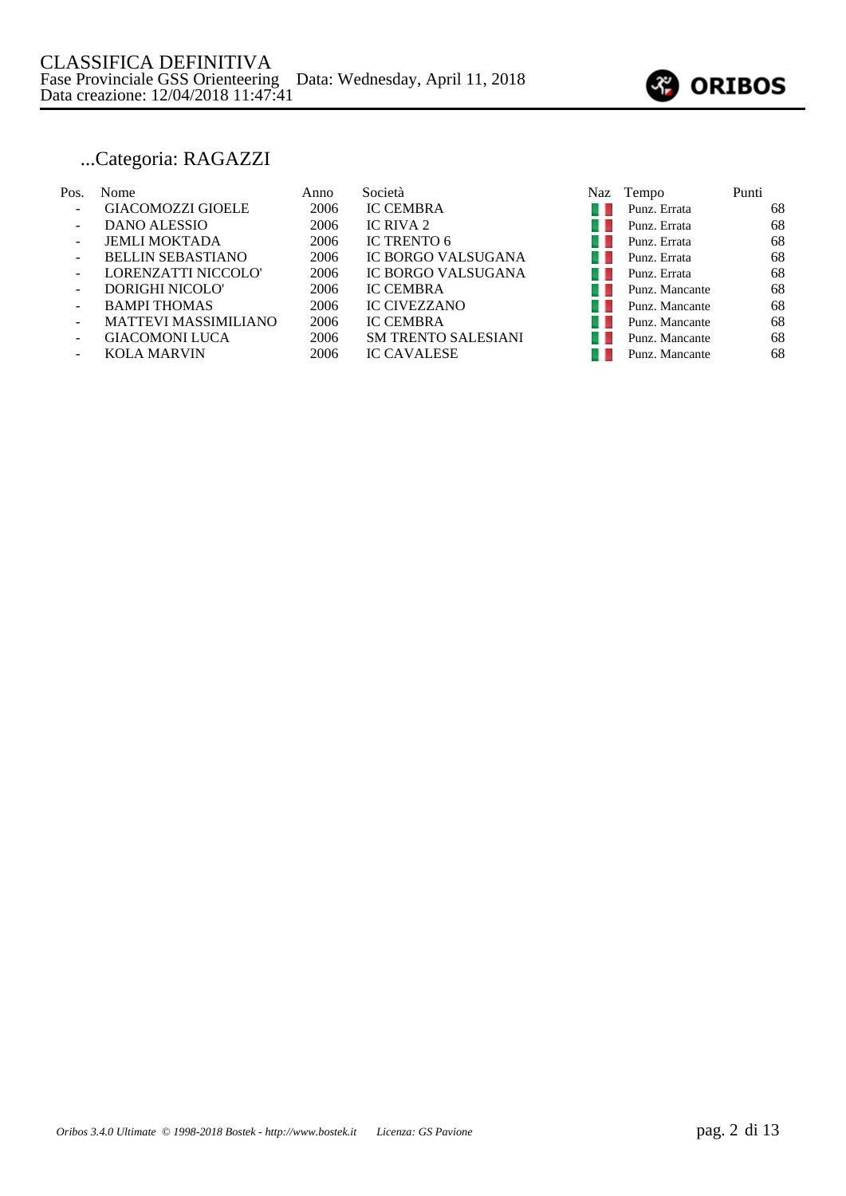# ...Categoria: RAGAZZI

| Pos.   | Nome                        | Anno | Società                    | Naz | Tempo          | Punti |
|--------|-----------------------------|------|----------------------------|-----|----------------|-------|
|        | <b>GIACOMOZZI GIOELE</b>    | 2006 | <b>IC CEMBRA</b>           |     | Punz. Errata   | 68    |
|        | <b>DANO ALESSIO</b>         | 2006 | IC RIVA 2                  |     | Punz. Errata   | 68    |
| $\sim$ | <b>JEMLI MOKTADA</b>        | 2006 | <b>IC TRENTO 6</b>         |     | Punz. Errata   | 68    |
|        | <b>BELLIN SEBASTIANO</b>    | 2006 | <b>IC BORGO VALSUGANA</b>  | ш   | Punz. Errata   | 68    |
|        | <b>LORENZATTI NICCOLO'</b>  | 2006 | <b>IC BORGO VALSUGANA</b>  |     | Punz. Errata   | 68    |
| $\sim$ | DORIGHI NICOLO'             | 2006 | <b>IC CEMBRA</b>           |     | Punz. Mancante | 68    |
|        | <b>BAMPI THOMAS</b>         | 2006 | <b>IC CIVEZZANO</b>        |     | Punz. Mancante | 68    |
| $\sim$ | <b>MATTEVI MASSIMILIANO</b> | 2006 | <b>IC CEMBRA</b>           |     | Punz. Mancante | 68    |
|        | <b>GIACOMONI LUCA</b>       | 2006 | <b>SM TRENTO SALESIANI</b> |     | Punz. Mancante | 68    |
|        | <b>KOLA MARVIN</b>          | 2006 | <b>IC CAVALESE</b>         |     | Punz. Mancante | 68    |

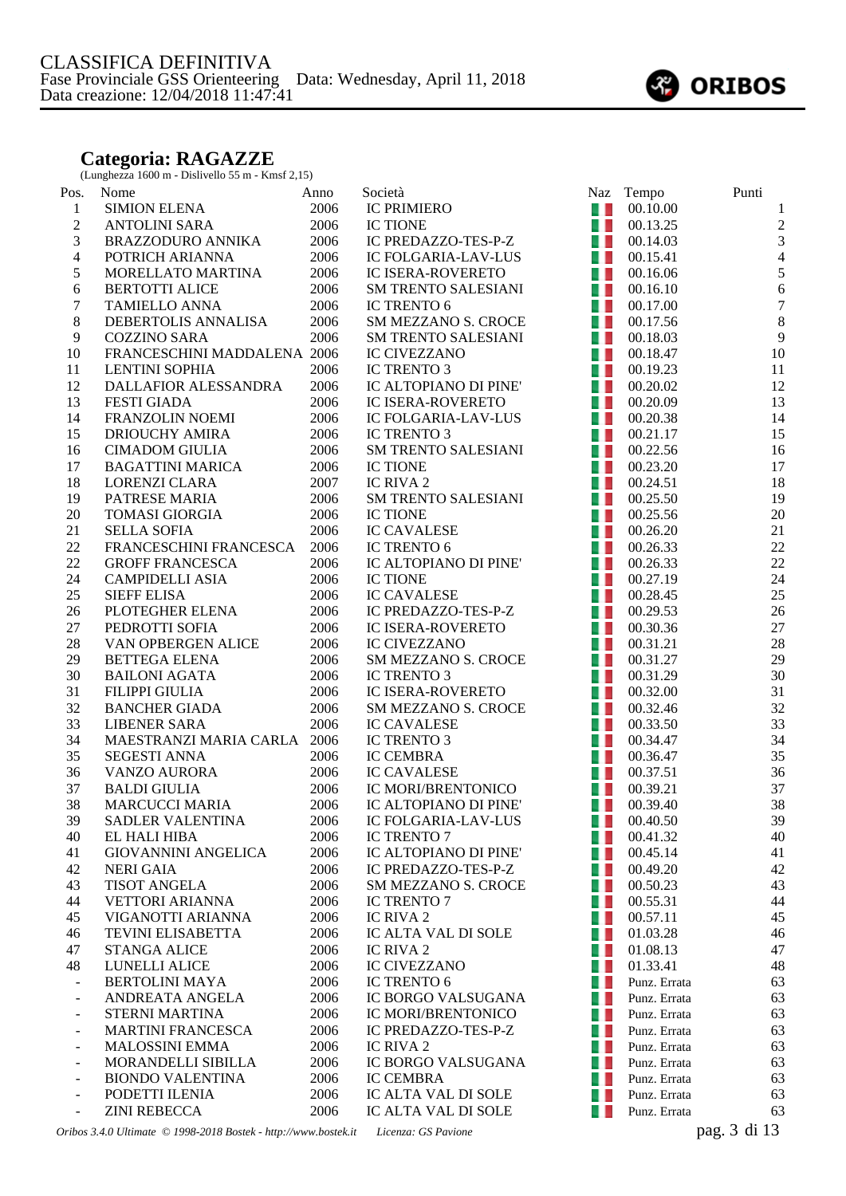### **Categoria: RAGAZZE**

CLASSIFICA DEFINITIVA

(Lunghezza 1600 m - Dislivello 55 m - Kmsf 2,15)

| Pos.                                      | Nome                                                            | Anno | Società                         |         | Naz Tempo    | Punti            |
|-------------------------------------------|-----------------------------------------------------------------|------|---------------------------------|---------|--------------|------------------|
| $\mathbf{1}$                              | <b>SIMION ELENA</b>                                             | 2006 | <b>IC PRIMIERO</b>              | 41      | 00.10.00     | $\mathbf{1}$     |
| $\sqrt{2}$                                | <b>ANTOLINI SARA</b>                                            | 2006 | <b>IC TIONE</b>                 | 41      | 00.13.25     | $\sqrt{2}$       |
| $\overline{3}$                            | <b>BRAZZODURO ANNIKA</b>                                        | 2006 | IC PREDAZZO-TES-P-Z             | A.      | 00.14.03     | $\overline{3}$   |
| $\overline{4}$                            | POTRICH ARIANNA                                                 | 2006 | IC FOLGARIA-LAV-LUS             | an in   | 00.15.41     | $\overline{4}$   |
| 5                                         | <b>MORELLATO MARTINA</b>                                        | 2006 | <b>IC ISERA-ROVERETO</b>        | A.      | 00.16.06     | $\sqrt{5}$       |
| 6                                         | <b>BERTOTTI ALICE</b>                                           | 2006 | <b>SM TRENTO SALESIANI</b>      | a pr    | 00.16.10     | $\sqrt{6}$       |
| $\boldsymbol{7}$                          | <b>TAMIELLO ANNA</b>                                            | 2006 | IC TRENTO 6                     | a pr    | 00.17.00     | $\boldsymbol{7}$ |
| 8                                         | DEBERTOLIS ANNALISA                                             | 2006 | <b>SM MEZZANO S. CROCE</b>      | a pro   | 00.17.56     | $\,8\,$          |
| 9                                         | <b>COZZINO SARA</b>                                             | 2006 | <b>SM TRENTO SALESIANI</b>      | a L     | 00.18.03     | 9                |
| 10                                        | FRANCESCHINI MADDALENA 2006                                     |      | <b>IC CIVEZZANO</b>             | 41      | 00.18.47     | 10               |
| 11                                        | <b>LENTINI SOPHIA</b>                                           | 2006 | IC TRENTO 3                     | 41      | 00.19.23     | 11               |
| 12                                        | <b>DALLAFIOR ALESSANDRA</b>                                     | 2006 | IC ALTOPIANO DI PINE'           | A D     | 00.20.02     | 12               |
| 13                                        | <b>FESTI GIADA</b>                                              | 2006 | IC ISERA-ROVERETO               | a D     | 00.20.09     | 13               |
| 14                                        | FRANZOLIN NOEMI                                                 | 2006 | <b>IC FOLGARIA-LAV-LUS</b>      | a ka    | 00.20.38     | 14               |
| 15                                        | DRIOUCHY AMIRA                                                  | 2006 | IC TRENTO 3                     | a pro   | 00.21.17     | 15               |
| 16                                        | <b>CIMADOM GIULIA</b>                                           | 2006 | <b>SM TRENTO SALESIANI</b>      | A. L    | 00.22.56     | 16               |
| 17                                        | <b>BAGATTINI MARICA</b>                                         | 2006 | <b>IC TIONE</b>                 | a, p    | 00.23.20     | 17               |
| 18                                        | LORENZI CLARA                                                   | 2007 | IC RIVA 2                       | a L     | 00.24.51     | 18               |
| 19                                        | PATRESE MARIA                                                   | 2006 | SM TRENTO SALESIANI             | 40      | 00.25.50     | 19               |
| $20\,$                                    | TOMASI GIORGIA                                                  | 2006 | <b>IC TIONE</b>                 | 41      | 00.25.56     | $20\,$           |
| 21                                        | <b>SELLA SOFIA</b>                                              | 2006 | <b>IC CAVALESE</b>              | a. L    | 00.26.20     | 21               |
| 22                                        | FRANCESCHINI FRANCESCA                                          | 2006 | IC TRENTO 6                     | a p     | 00.26.33     | $22\,$           |
| $22\,$                                    | <b>GROFF FRANCESCA</b>                                          | 2006 | IC ALTOPIANO DI PINE'           | a pr    | 00.26.33     | $22\,$           |
| 24                                        | <b>CAMPIDELLI ASIA</b>                                          | 2006 | <b>IC TIONE</b>                 | 44 14   | 00.27.19     | 24               |
| 25                                        | <b>SIEFF ELISA</b>                                              | 2006 | <b>IC CAVALESE</b>              | a, p    | 00.28.45     | 25               |
| 26                                        | PLOTEGHER ELENA                                                 | 2006 | IC PREDAZZO-TES-P-Z             | a, p    | 00.29.53     | 26               |
| $27\,$                                    | PEDROTTI SOFIA                                                  | 2006 | <b>IC ISERA-ROVERETO</b>        | a L     | 00.30.36     | 27               |
| 28                                        | VAN OPBERGEN ALICE                                              | 2006 | <b>IC CIVEZZANO</b>             | 4. L    | 00.31.21     | 28               |
| 29                                        | <b>BETTEGA ELENA</b>                                            | 2006 | SM MEZZANO S. CROCE             | 41      | 00.31.27     | 29               |
| 30                                        | <b>BAILONI AGATA</b>                                            | 2006 | IC TRENTO 3                     | 41      | 00.31.29     | 30               |
| 31                                        | FILIPPI GIULIA                                                  | 2006 | IC ISERA-ROVERETO               | an in   | 00.32.00     | 31               |
| 32                                        | <b>BANCHER GIADA</b>                                            | 2006 | SM MEZZANO S. CROCE             | a, p    | 00.32.46     | 32               |
| 33                                        | LIBENER SARA                                                    | 2006 | <b>IC CAVALESE</b>              | 4. L    | 00.33.50     | 33               |
| 34                                        | MAESTRANZI MARIA CARLA 2006                                     |      | IC TRENTO 3                     | a ka    | 00.34.47     | 34               |
| 35                                        | <b>SEGESTI ANNA</b>                                             | 2006 | <b>IC CEMBRA</b>                | a, p    | 00.36.47     | 35               |
| 36                                        | VANZO AURORA                                                    | 2006 | <b>IC CAVALESE</b>              | 4 L     | 00.37.51     | 36               |
| 37                                        | <b>BALDI GIULIA</b>                                             | 2006 | IC MORI/BRENTONICO              | u j     | 00.39.21     | 37               |
| 38                                        | <b>MARCUCCI MARIA</b>                                           | 2006 | IC ALTOPIANO DI PINE'           | 4 D     | 00.39.40     | 38               |
| 39                                        | SADLER VALENTINA                                                | 2006 | IC FOLGARIA-LAV-LUS             |         | 00.40.50     | 39               |
| 40                                        | EL HALI HIBA                                                    | 2006 | IC TRENTO 7                     | ш.<br>w | 00.41.32     | 40               |
| 41                                        | GIOVANNINI ANGELICA                                             | 2006 | IC ALTOPIANO DI PINE'           | u u     | 00.45.14     | 41               |
| 42                                        | <b>NERI GAIA</b>                                                | 2006 | IC PREDAZZO-TES-P-Z             | w       | 00.49.20     | 42               |
| 43                                        | <b>TISOT ANGELA</b>                                             | 2006 | <b>SM MEZZANO S. CROCE</b>      | 4 L     | 00.50.23     | 43               |
| 44                                        | <b>VETTORI ARIANNA</b>                                          | 2006 |                                 | w       | 00.55.31     | 44               |
| 45                                        | VIGANOTTI ARIANNA                                               | 2006 | <b>IC TRENTO 7</b><br>IC RIVA 2 | u u     | 00.57.11     | 45               |
| 46                                        | TEVINI ELISABETTA                                               | 2006 | IC ALTA VAL DI SOLE             | L p     | 01.03.28     | 46               |
| 47                                        | <b>STANGA ALICE</b>                                             | 2006 | IC RIVA 2                       | . .     | 01.08.13     | 47               |
| 48                                        | LUNELLI ALICE                                                   | 2006 | <b>IC CIVEZZANO</b>             | ū L     | 01.33.41     | 48               |
| $\blacksquare$                            | <b>BERTOLINI MAYA</b>                                           | 2006 | IC TRENTO 6                     | w       | Punz. Errata | 63               |
| $\overline{\phantom{a}}$                  | ANDREATA ANGELA                                                 | 2006 | IC BORGO VALSUGANA              | 8 L     | Punz. Errata | 63               |
| $\overline{\phantom{a}}$                  | STERNI MARTINA                                                  | 2006 | IC MORI/BRENTONICO              | w       | Punz. Errata | 63               |
| $\overline{\phantom{a}}$                  | <b>MARTINI FRANCESCA</b>                                        | 2006 | IC PREDAZZO-TES-P-Z             | u u     | Punz. Errata | 63               |
| $\overline{\phantom{m}}$                  | MALOSSINI EMMA                                                  | 2006 | IC RIVA 2                       | w       | Punz. Errata | 63               |
| $\overline{\phantom{0}}$                  | MORANDELLI SIBILLA                                              | 2006 | IC BORGO VALSUGANA              | w       | Punz. Errata | 63               |
|                                           | <b>BIONDO VALENTINA</b>                                         | 2006 | <b>IC CEMBRA</b>                | U       | Punz. Errata | 63               |
| $\qquad \qquad \blacksquare$              | PODETTI ILENIA                                                  | 2006 | IC ALTA VAL DI SOLE             | 6 N     | Punz. Errata | 63               |
| $\frac{1}{2}$<br>$\overline{\phantom{0}}$ | <b>ZINI REBECCA</b>                                             | 2006 | IC ALTA VAL DI SOLE             | - 1     | Punz. Errata | 63               |
|                                           |                                                                 |      |                                 |         |              |                  |
|                                           | Oribos 3.4.0 Ultimate © 1998-2018 Bostek - http://www.bostek.it |      | Licenza: GS Pavione             |         |              | pag. 3 di 13     |

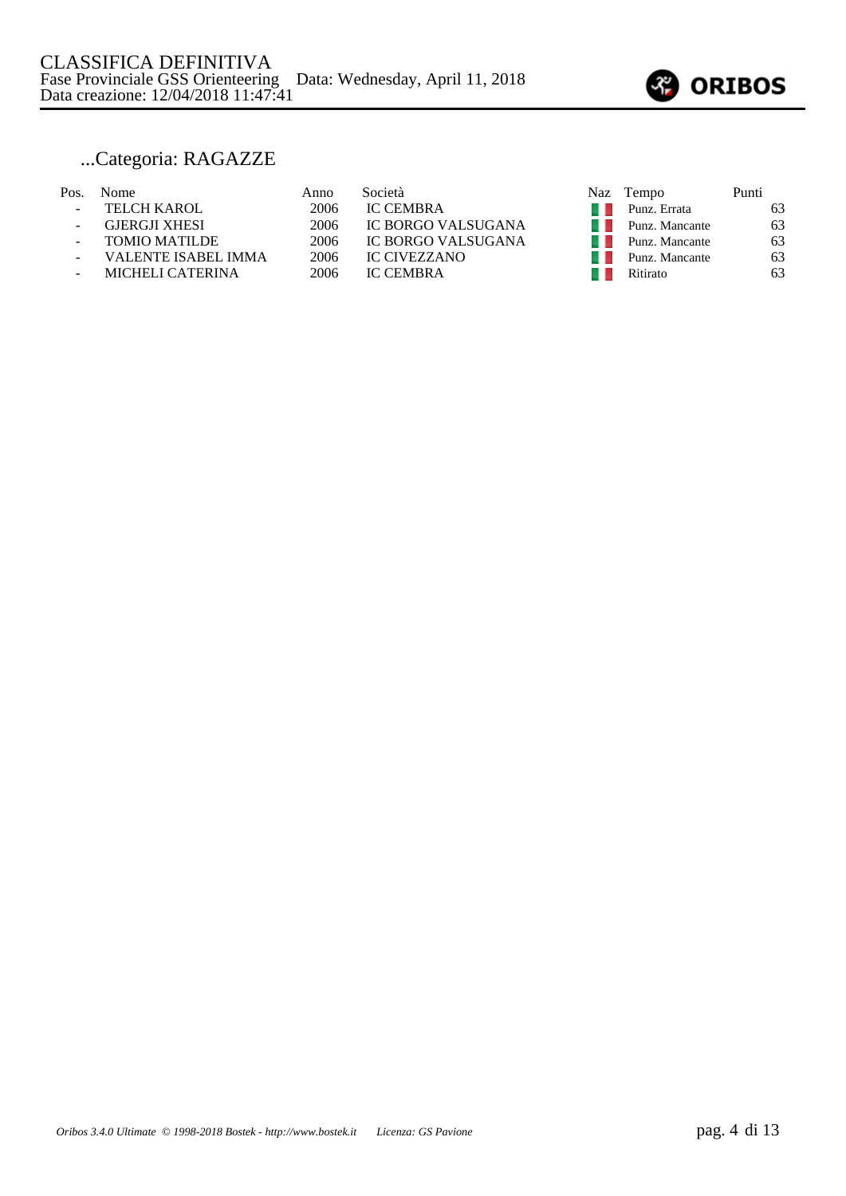Fase Provinciale GSS Orienteering Data: Wednesday, April 11, 2018



# ...Categoria: RAGAZZE

CLASSIFICA DEFINITIVA

| Pos.                     | <b>Nome</b>                | Anno | Società                   | Naz Tempo      | Punti |
|--------------------------|----------------------------|------|---------------------------|----------------|-------|
| $\overline{\phantom{0}}$ | <b>TELCH KAROL</b>         | 2006 | <b>IC CEMBRA</b>          | Punz. Errata   | 63    |
| $\overline{\phantom{0}}$ | <b>GJERGJI XHESI</b>       | 2006 | <b>IC BORGO VALSUGANA</b> | Punz. Mancante | 63    |
|                          | <b>TOMIO MATILDE</b>       | 2006 | <b>IC BORGO VALSUGANA</b> | Punz. Mancante | 63    |
|                          | <b>VALENTE ISABEL IMMA</b> | 2006 | <b>IC CIVEZZANO</b>       | Punz. Mancante | 63    |
|                          | MICHELI CATERINA           | 2006 | <b>IC CEMBRA</b>          | Ritirato       | 63    |
|                          |                            |      |                           |                |       |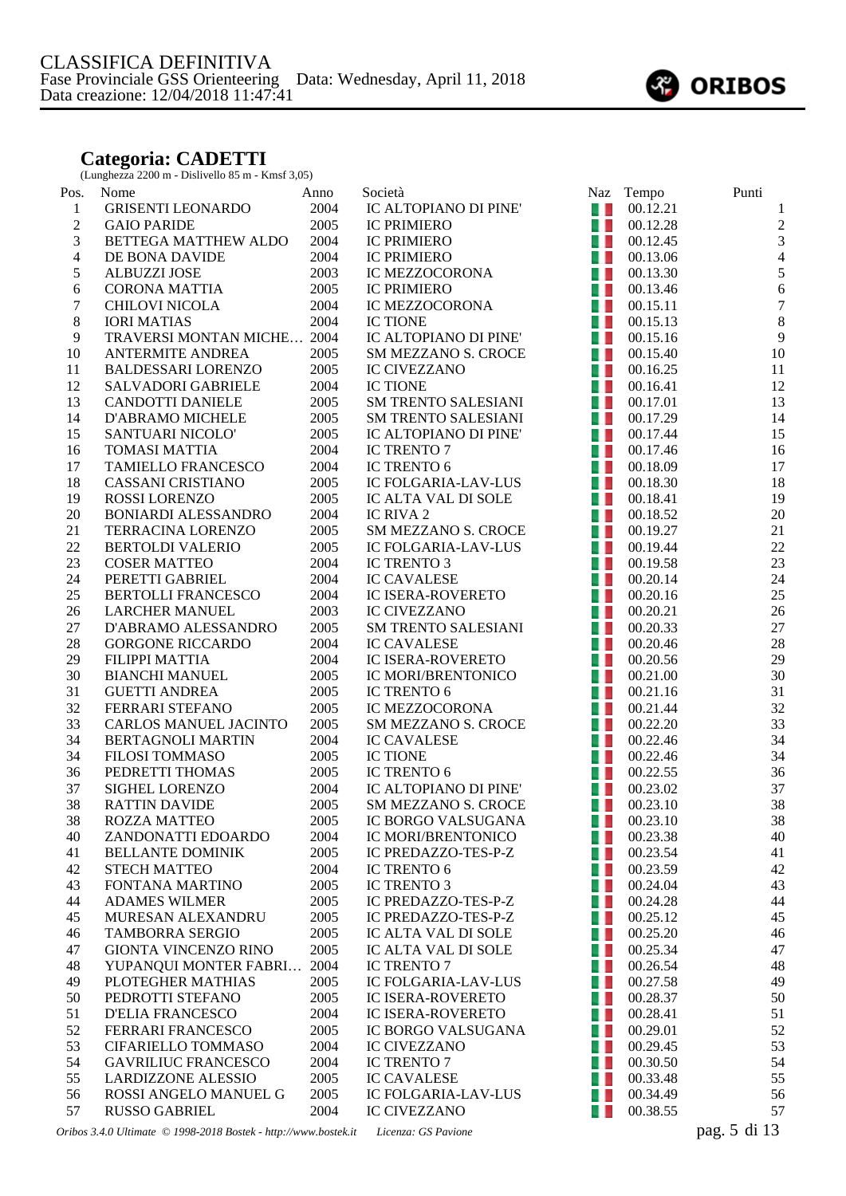**Categoria: CADETTI**

| Pos.             | Nome                                             | Anno         | Società                                   |            | Naz Tempo               | Punti                    |
|------------------|--------------------------------------------------|--------------|-------------------------------------------|------------|-------------------------|--------------------------|
| $\mathbf{1}$     | <b>GRISENTI LEONARDO</b>                         | 2004         | IC ALTOPIANO DI PINE'                     | a a        | 00.12.21                | 1                        |
| $\sqrt{2}$       | <b>GAIO PARIDE</b>                               | 2005         | <b>IC PRIMIERO</b>                        | a. L       | 00.12.28                | $\overline{c}$           |
| 3                | BETTEGA MATTHEW ALDO                             | 2004         | <b>IC PRIMIERO</b>                        | a L        | 00.12.45                | 3                        |
| $\overline{4}$   | DE BONA DAVIDE                                   | 2004         | <b>IC PRIMIERO</b>                        | a pro      | 00.13.06                | $\overline{\mathcal{A}}$ |
| 5                | <b>ALBUZZI JOSE</b>                              | 2003         | IC MEZZOCORONA                            | <b>ALL</b> | 00.13.30                | 5                        |
| 6                | CORONA MATTIA                                    | 2005         | <b>IC PRIMIERO</b>                        | a, p       | 00.13.46                | $\epsilon$               |
| $\boldsymbol{7}$ | <b>CHILOVI NICOLA</b>                            | 2004         | IC MEZZOCORONA                            | 4 L        | 00.15.11                | $\overline{7}$           |
| $\,8\,$          | <b>IORI MATIAS</b>                               | 2004         | <b>IC TIONE</b>                           | a ju       | 00.15.13                | 8                        |
| $\mathbf{9}$     | TRAVERSI MONTAN MICHE 2004                       |              | IC ALTOPIANO DI PINE'                     | a ji       | 00.15.16                | 9                        |
| 10               | <b>ANTERMITE ANDREA</b>                          | 2005         | SM MEZZANO S. CROCE                       | a. L       | 00.15.40                | 10                       |
| 11               | <b>BALDESSARI LORENZO</b>                        | 2005         | IC CIVEZZANO                              | - 1        | 00.16.25                | 11                       |
| 12               | SALVADORI GABRIELE                               | 2004         | <b>IC TIONE</b>                           | a L        | 00.16.41                | 12                       |
| 13               | <b>CANDOTTI DANIELE</b>                          | 2005         | <b>SM TRENTO SALESIANI</b>                | a pr       | 00.17.01                | 13                       |
| 14               | D'ABRAMO MICHELE                                 | 2005         | <b>SM TRENTO SALESIANI</b>                | a pro      | 00.17.29                | 14                       |
| 15               | SANTUARI NICOLO'                                 | 2005         | IC ALTOPIANO DI PINE'                     |            | $\blacksquare$ 00.17.44 | 15                       |
| 16               | <b>TOMASI MATTIA</b>                             | 2004         | <b>IC TRENTO 7</b>                        |            | $\blacksquare$ 00.17.46 | 16                       |
| 17               | TAMIELLO FRANCESCO                               | 2004         | IC TRENTO 6                               | a pro      | 00.18.09                | 17                       |
| 18               | <b>CASSANI CRISTIANO</b>                         | 2005         | <b>IC FOLGARIA-LAV-LUS</b>                | a pro      | 00.18.30                | 18                       |
| 19               | ROSSI LORENZO                                    | 2005         | IC ALTA VAL DI SOLE                       | A. L       | 00.18.41                | 19                       |
| 20               | <b>BONIARDI ALESSANDRO</b>                       | 2004         | IC RIVA 2                                 | 41         | 00.18.52                | 20                       |
| 21               | <b>TERRACINA LORENZO</b>                         | 2005         | SM MEZZANO S. CROCE                       | a p        | 00.19.27                | 21                       |
| $22\,$           | <b>BERTOLDI VALERIO</b>                          | 2005         | IC FOLGARIA-LAV-LUS                       | 4. L       | 00.19.44                | 22                       |
| 23               | <b>COSER MATTEO</b>                              | 2004         | IC TRENTO 3                               | a pro      | 00.19.58                | 23                       |
| 24               | PERETTI GABRIEL                                  | 2004         | <b>IC CAVALESE</b>                        |            | $\blacksquare$ 00.20.14 | 24                       |
| 25               | <b>BERTOLLI FRANCESCO</b>                        | 2004         | <b>IC ISERA-ROVERETO</b>                  |            | $\blacksquare$ 00.20.16 | 25                       |
| 26               | <b>LARCHER MANUEL</b>                            | 2003         | <b>IC CIVEZZANO</b>                       | a pr       | 00.20.21                | 26                       |
| $27\,$           | D'ABRAMO ALESSANDRO                              | 2005         | SM TRENTO SALESIANI                       | a. L       | 00.20.33                | 27                       |
| $28\,$           | <b>GORGONE RICCARDO</b>                          | 2004         | <b>IC CAVALESE</b>                        | u L        | 00.20.46                | 28                       |
| 29               | FILIPPI MATTIA                                   | 2004         | IC ISERA-ROVERETO                         | 41         | 00.20.56                | 29                       |
| 30               | <b>BIANCHI MANUEL</b>                            | 2005         | IC MORI/BRENTONICO                        | a p        | 00.21.00                | 30                       |
| 31               | <b>GUETTI ANDREA</b>                             | 2005         | IC TRENTO 6                               | a pr       | 00.21.16                | 31                       |
| 32               | FERRARI STEFANO                                  | 2005         | IC MEZZOCORONA                            | a L        | 00.21.44                | 32                       |
| 33               | CARLOS MANUEL JACINTO                            | 2005         | <b>SM MEZZANO S. CROCE</b>                |            | $\blacksquare$ 00.22.20 | 33                       |
| 34               | BERTAGNOLI MARTIN                                | 2004         | <b>IC CAVALESE</b>                        |            | $\blacksquare$ 00.22.46 | 34                       |
| 34               | <b>FILOSI TOMMASO</b>                            | 2005         | <b>IC TIONE</b>                           | 4. L       | 00.22.46                | 34                       |
| 36               | PEDRETTI THOMAS                                  | 2005         | IC TRENTO 6                               | 4. L       | 00.22.55                | 36                       |
| 37               | SIGHEL LORENZO                                   | 2004         | IC ALTOPIANO DI PINE'                     | a L        | 00.23.02                | 37                       |
| 38               | <b>RATTIN DAVIDE</b>                             | 2005         | <b>SM MEZZANO S. CROCE</b>                | 41         | 00.23.10                | 38                       |
| 38               | <b>ROZZA MATTEO</b>                              | 2005         | IC BORGO VALSUGANA                        | u li       | 00.23.10                | 38                       |
| 40               | ZANDONATTI EDOARDO                               | 2004         | IC MORI/BRENTONICO                        | w          | 00.23.38                | 40                       |
| 41               | <b>BELLANTE DOMINIK</b>                          | 2005         | IC PREDAZZO-TES-P-Z                       | a. L       | 00.23.54                | 41                       |
| 42               | <b>STECH MATTEO</b>                              | 2004         | IC TRENTO 6                               | 4 L        | 00.23.59                | 42                       |
| 43               | FONTANA MARTINO                                  | 2005         | IC TRENTO 3                               | u L        | 00.24.04                | 43                       |
| 44               | <b>ADAMES WILMER</b>                             | 2005         | IC PREDAZZO-TES-P-Z                       | u L        | 00.24.28                | 44                       |
| 45               | MURESAN ALEXANDRU                                | 2005         | IC PREDAZZO-TES-P-Z                       | 41         | 00.25.12                | 45                       |
| 46               | <b>TAMBORRA SERGIO</b>                           | 2005         | IC ALTA VAL DI SOLE                       | a. L       | 00.25.20                | 46                       |
| 47<br>48         | GIONTA VINCENZO RINO                             | 2005<br>2004 | IC ALTA VAL DI SOLE<br>IC TRENTO 7        | w<br>w     | 00.25.34                | 47                       |
| 49               | YUPANQUI MONTER FABRI                            | 2005         |                                           | w          | 00.26.54                | 48<br>49                 |
| 50               | PLOTEGHER MATHIAS                                | 2005         | <b>IC FOLGARIA-LAV-LUS</b>                | H L        | 00.27.58                | 50                       |
|                  | PEDROTTI STEFANO                                 |              | <b>IC ISERA-ROVERETO</b>                  |            | 00.28.37                |                          |
| 51               | D'ELIA FRANCESCO                                 | 2004         | <b>IC ISERA-ROVERETO</b>                  | a p        | 00.28.41                | 51                       |
| 52<br>53         | FERRARI FRANCESCO                                | 2005         | IC BORGO VALSUGANA<br><b>IC CIVEZZANO</b> | w          | 00.29.01                | 52                       |
| 54               | CIFARIELLO TOMMASO<br><b>GAVRILIUC FRANCESCO</b> | 2004<br>2004 | IC TRENTO 7                               | u L<br>41  | 00.29.45<br>00.30.50    | 53<br>54                 |
| 55               | <b>LARDIZZONE ALESSIO</b>                        | 2005         | <b>IC CAVALESE</b>                        | w          | 00.33.48                | 55                       |
| 56               | ROSSI ANGELO MANUEL G                            | 2005         | <b>IC FOLGARIA-LAV-LUS</b>                | w          | 00.34.49                | 56                       |
| 57               | <b>RUSSO GABRIEL</b>                             | 2004         | IC CIVEZZANO                              | 41         | 00.38.55                | 57                       |
|                  |                                                  |              |                                           |            |                         |                          |



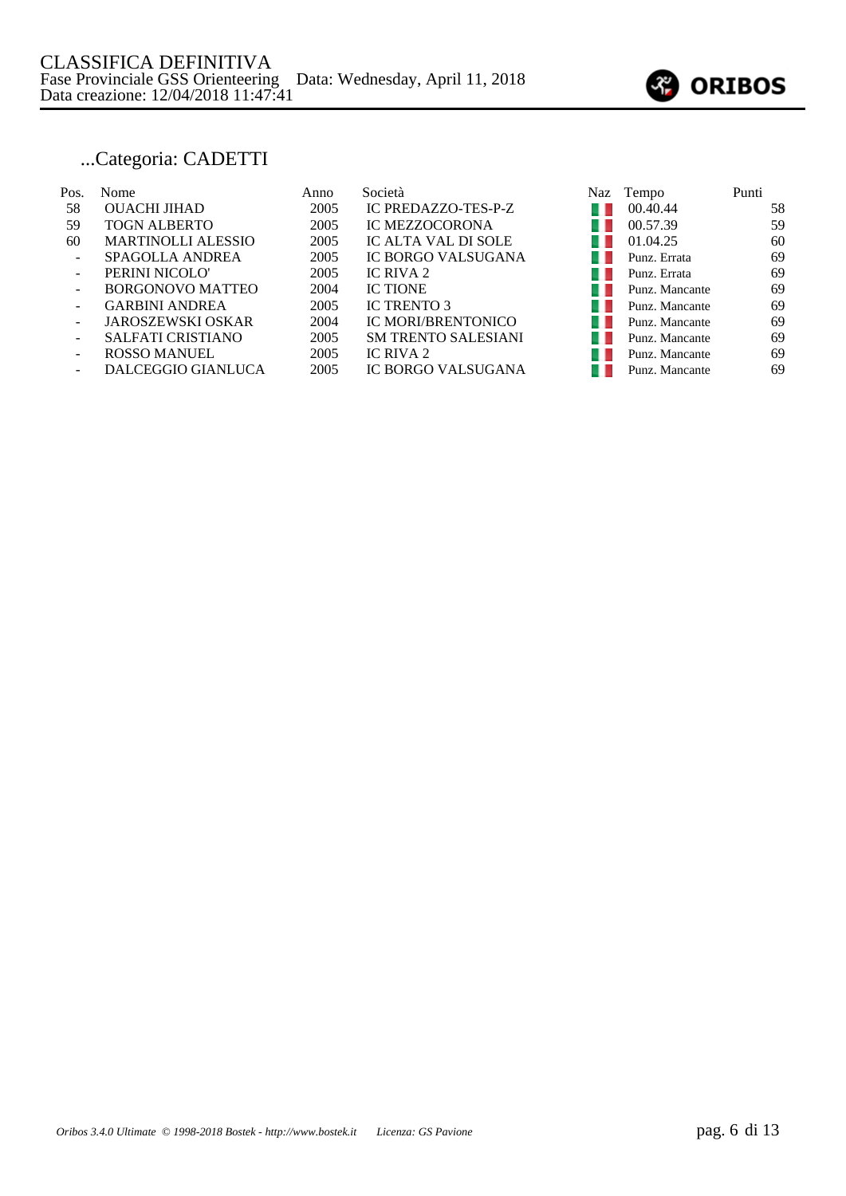# ...Categoria: CADETTI

| Pos.                     | Nome                      | Anno | Società                    | Naz | Tempo          | Punti |
|--------------------------|---------------------------|------|----------------------------|-----|----------------|-------|
| 58                       | <b>OUACHI JIHAD</b>       | 2005 | IC PREDAZZO-TES-P-Z        |     | 00.40.44       | 58    |
| 59                       | <b>TOGN ALBERTO</b>       | 2005 | <b>IC MEZZOCORONA</b>      |     | 00.57.39       | 59    |
| 60                       | <b>MARTINOLLI ALESSIO</b> | 2005 | IC ALTA VAL DI SOLE        |     | 01.04.25       | 60    |
| $\sim$                   | SPAGOLLA ANDREA           | 2005 | IC BORGO VALSUGANA         |     | Punz. Errata   | 69    |
| $\overline{\phantom{0}}$ | PERINI NICOLO'            | 2005 | IC RIVA 2                  |     | Punz. Errata   | 69    |
|                          | <b>BORGONOVO MATTEO</b>   | 2004 | <b>IC TIONE</b>            |     | Punz. Mancante | 69    |
| $\sim$                   | <b>GARBINI ANDREA</b>     | 2005 | IC TRENTO 3                |     | Punz. Mancante | 69    |
| ۰.                       | <b>JAROSZEWSKI OSKAR</b>  | 2004 | <b>IC MORI/BRENTONICO</b>  |     | Punz. Mancante | 69    |
| $\sim$                   | <b>SALFATI CRISTIANO</b>  | 2005 | <b>SM TRENTO SALESIANI</b> |     | Punz. Mancante | 69    |
| $\sim$                   | <b>ROSSO MANUEL</b>       | 2005 | IC RIVA 2                  |     | Punz. Mancante | 69    |
|                          | DALCEGGIO GIANLUCA        | 2005 | <b>IC BORGO VALSUGANA</b>  |     | Punz. Mancante | 69    |
|                          |                           |      |                            |     |                |       |

| nz. Errata   | nУ |
|--------------|----|
| nz. Mancante | 69 |
| nz. Mancante | 69 |
| nz. Mancante | 69 |
| nz. Mancante | 69 |
| nz. Mancante | 69 |
| nz. Mancante | 69 |
|              |    |
|              |    |
|              |    |
|              |    |

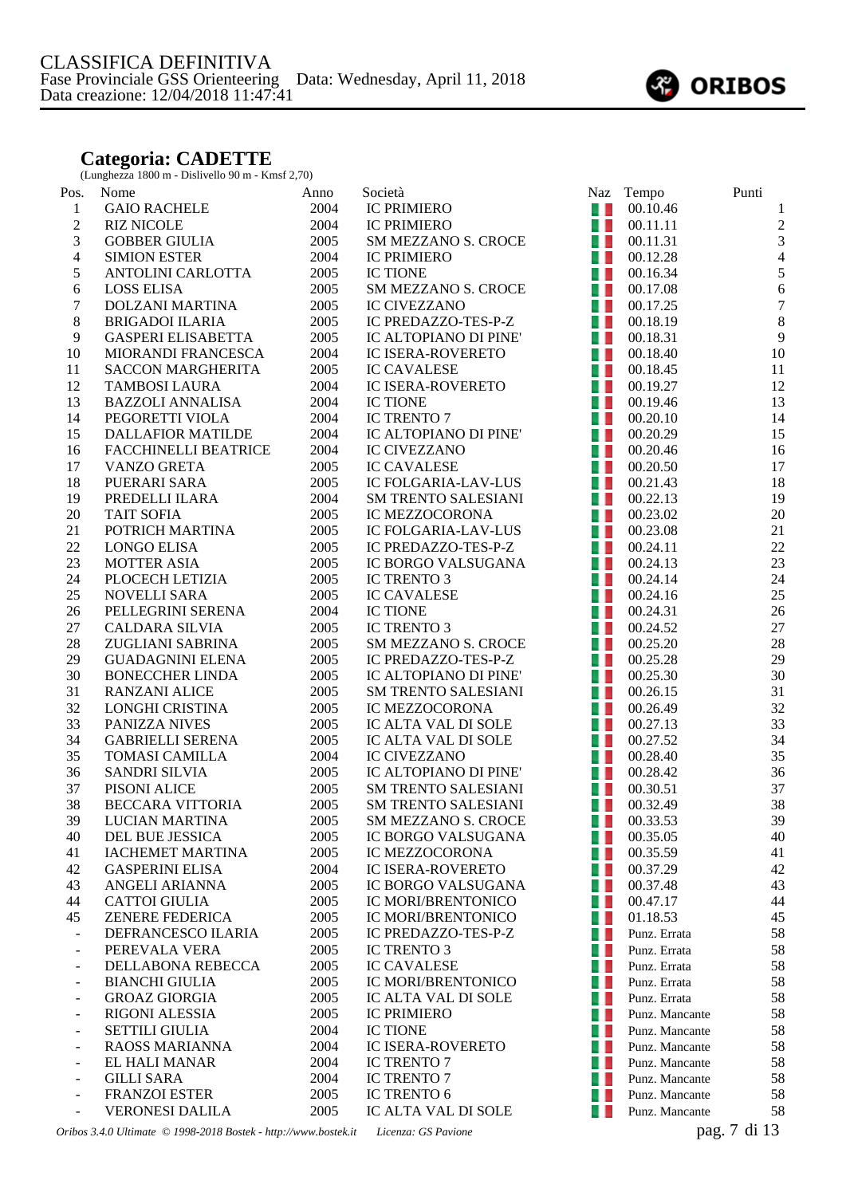## **Categoria: CADETTE**

(Lunghezza 1800 m - Dislivello 90 m - Kmsf 2,70)

|                          | (Lunghezza 1800 m - Dislivello 90 m - Kmsf 2,70) |              |                                |              |                      |                          |
|--------------------------|--------------------------------------------------|--------------|--------------------------------|--------------|----------------------|--------------------------|
| Pos.                     | Nome                                             | Anno         | Società                        | <b>Naz</b>   | Tempo                | Punti                    |
| 1                        | <b>GAIO RACHELE</b>                              | 2004         | <b>IC PRIMIERO</b>             | a. L         | 00.10.46             | 1                        |
| $\sqrt{2}$               | <b>RIZ NICOLE</b>                                | 2004         | <b>IC PRIMIERO</b>             | a. L         | 00.11.11             | $\overline{c}$           |
| $\overline{3}$           | <b>GOBBER GIULIA</b>                             | 2005         | SM MEZZANO S. CROCE            | a. L         | 00.11.31             | 3                        |
| $\overline{4}$           | <b>SIMION ESTER</b>                              | 2004         | <b>IC PRIMIERO</b>             | a ka         | 00.12.28             | $\overline{\mathcal{A}}$ |
| $\mathfrak s$            | ANTOLINI CARLOTTA                                | 2005         | <b>IC TIONE</b>                | an in        | 00.16.34             | 5                        |
| $\sqrt{6}$               | <b>LOSS ELISA</b>                                | 2005         | SM MEZZANO S. CROCE            | an in        | 00.17.08             | $\epsilon$               |
| $\boldsymbol{7}$         | <b>DOLZANI MARTINA</b>                           | 2005         | <b>IC CIVEZZANO</b>            | a, p         | 00.17.25             | $\overline{7}$           |
| $\,8\,$                  | <b>BRIGADOI ILARIA</b>                           | 2005         | IC PREDAZZO-TES-P-Z            | a, p         | 00.18.19             | 8                        |
| 9                        | <b>GASPERI ELISABETTA</b>                        | 2005         | IC ALTOPIANO DI PINE'          | a ka         | 00.18.31             | 9                        |
| 10                       | <b>MIORANDI FRANCESCA</b>                        | 2004         | <b>IC ISERA-ROVERETO</b>       | a. L         | 00.18.40             | 10                       |
| 11<br>12                 | <b>SACCON MARGHERITA</b>                         | 2005<br>2004 | <b>IC CAVALESE</b>             | a. L         | 00.18.45             | 11                       |
| 13                       | <b>TAMBOSI LAURA</b><br><b>BAZZOLI ANNALISA</b>  | 2004         | <b>IC ISERA-ROVERETO</b>       | a. L         | 00.19.27             | 12<br>13                 |
| 14                       | PEGORETTI VIOLA                                  | 2004         | <b>IC TIONE</b><br>IC TRENTO 7 | a ka<br>A. L | 00.19.46<br>00.20.10 | 14                       |
| 15                       | <b>DALLAFIOR MATILDE</b>                         | 2004         | IC ALTOPIANO DI PINE'          | a. L         | 00.20.29             | 15                       |
| 16                       | <b>FACCHINELLI BEATRICE</b>                      | 2004         | <b>IC CIVEZZANO</b>            | a, p         | 00.20.46             | 16                       |
| 17                       | VANZO GRETA                                      | 2005         | <b>IC CAVALESE</b>             | a,           | 00.20.50             | 17                       |
| 18                       | PUERARI SARA                                     | 2005         | IC FOLGARIA-LAV-LUS            | an in        | 00.21.43             | 18                       |
| 19                       | PREDELLI ILARA                                   | 2004         | <b>SM TRENTO SALESIANI</b>     | A.           | 00.22.13             | 19                       |
| $20\,$                   | <b>TAIT SOFIA</b>                                | 2005         | IC MEZZOCORONA                 | 41           | 00.23.02             | 20                       |
| 21                       | POTRICH MARTINA                                  | 2005         | <b>IC FOLGARIA-LAV-LUS</b>     | a L          | 00.23.08             | 21                       |
| $22\,$                   | LONGO ELISA                                      | 2005         | IC PREDAZZO-TES-P-Z            | an in        | 00.24.11             | 22                       |
| 23                       | <b>MOTTER ASIA</b>                               | 2005         | IC BORGO VALSUGANA             | a pr         | 00.24.13             | 23                       |
| 24                       | PLOCECH LETIZIA                                  | 2005         | IC TRENTO 3                    | a in         | 00.24.14             | 24                       |
| 25                       | <b>NOVELLI SARA</b>                              | 2005         | <b>IC CAVALESE</b>             | an in        | 00.24.16             | 25                       |
| 26                       | PELLEGRINI SERENA                                | 2004         | <b>IC TIONE</b>                | an in        | 00.24.31             | 26                       |
| 27                       | <b>CALDARA SILVIA</b>                            | 2005         | IC TRENTO 3                    | a ka         | 00.24.52             | 27                       |
| 28                       | ZUGLIANI SABRINA                                 | 2005         | SM MEZZANO S. CROCE            | 41           | 00.25.20             | 28                       |
| 29                       | <b>GUADAGNINI ELENA</b>                          | 2005         | IC PREDAZZO-TES-P-Z            | an Ind       | 00.25.28             | 29                       |
| 30                       | <b>BONECCHER LINDA</b>                           | 2005         | IC ALTOPIANO DI PINE'          | a L          | 00.25.30             | 30                       |
| 31                       | <b>RANZANI ALICE</b>                             | 2005         | SM TRENTO SALESIANI            | a, p         | 00.26.15             | 31                       |
| 32                       | <b>LONGHI CRISTINA</b>                           | 2005         | IC MEZZOCORONA                 | a L          | 00.26.49             | 32                       |
| 33                       | PANIZZA NIVES                                    | 2005         | IC ALTA VAL DI SOLE            | a pro        | 00.27.13             | 33                       |
| 34                       | <b>GABRIELLI SERENA</b>                          | 2005         | IC ALTA VAL DI SOLE            | a ju         | 00.27.52             | 34                       |
| 35                       | TOMASI CAMILLA                                   | 2004         | <b>IC CIVEZZANO</b>            | an in        | 00.28.40             | 35                       |
| 36                       | <b>SANDRI SILVIA</b>                             | 2005         | IC ALTOPIANO DI PINE'          | A.           | 00.28.42             | 36                       |
| 37                       | PISONI ALICE                                     | 2005         | <b>SM TRENTO SALESIANI</b>     | 41           | 00.30.51             | 37                       |
| 38                       | <b>BECCARA VITTORIA</b>                          | 2005         | <b>SM TRENTO SALESIANI</b>     | 4 L          | 00.32.49             | 38                       |
| 39                       | <b>LUCIAN MARTINA</b>                            | 2005         | SM MEZZANO S. CROCE            | a p          | 00.33.53             | 39                       |
| 40                       | DEL BUE JESSICA                                  | 2005         | IC BORGO VALSUGANA             | a ka         | 00.35.05             | 40                       |
| 41                       | <b>IACHEMET MARTINA</b>                          | 2005         | IC MEZZOCORONA                 | a l          | 00.35.59             | 41                       |
| 42                       | <b>GASPERINI ELISA</b>                           | 2004         | <b>IC ISERA-ROVERETO</b>       | - 1          | 00.37.29             | 42                       |
| 43                       | ANGELI ARIANNA                                   | 2005         | IC BORGO VALSUGANA             | w            | 00.37.48             | 43                       |
| 44                       | <b>CATTOI GIULIA</b>                             | 2005         | IC MORI/BRENTONICO             | . .          | 00.47.17             | 44                       |
| 45                       | <b>ZENERE FEDERICA</b>                           | 2005         | IC MORI/BRENTONICO             | w            | 01.18.53             | 45                       |
| $\blacksquare$           | DEFRANCESCO ILARIA                               | 2005         | IC PREDAZZO-TES-P-Z            | u L          | Punz. Errata         | 58                       |
| $\blacksquare$           | PEREVALA VERA                                    | 2005         | IC TRENTO 3                    | H U          | Punz. Errata         | 58                       |
| $\blacksquare$           | DELLABONA REBECCA                                | 2005         | <b>IC CAVALESE</b>             | - 1          | Punz. Errata         | 58                       |
| $\blacksquare$           | <b>BIANCHI GIULIA</b>                            | 2005         | IC MORI/BRENTONICO             | - 1          | Punz. Errata         | 58                       |
| $\blacksquare$           | <b>GROAZ GIORGIA</b>                             | 2005         | IC ALTA VAL DI SOLE            | - 1          | Punz. Errata         | 58                       |
| $\blacksquare$           | RIGONI ALESSIA                                   | 2005         | <b>IC PRIMIERO</b>             | - 1          | Punz. Mancante       | 58                       |
| $\blacksquare$           | <b>SETTILI GIULIA</b>                            | 2004         | <b>IC TIONE</b>                | . .          | Punz. Mancante       | 58                       |
| $\overline{\phantom{a}}$ | <b>RAOSS MARIANNA</b>                            | 2004         | <b>IC ISERA-ROVERETO</b>       | a ka         | Punz. Mancante       | 58                       |
| $\blacksquare$           | EL HALI MANAR                                    | 2004         | IC TRENTO 7                    | . .          | Punz. Mancante       | 58                       |
| $\blacksquare$           | <b>GILLI SARA</b>                                | 2004         | IC TRENTO 7                    | - 1          | Punz. Mancante       | 58                       |
| $\blacksquare$           | <b>FRANZOI ESTER</b>                             | 2005         | IC TRENTO 6                    | H            | Punz. Mancante       | 58                       |
| $\overline{\phantom{a}}$ | <b>VERONESI DALILA</b>                           | 2005         | IC ALTA VAL DI SOLE            | a ka         | Punz. Mancante       | 58                       |

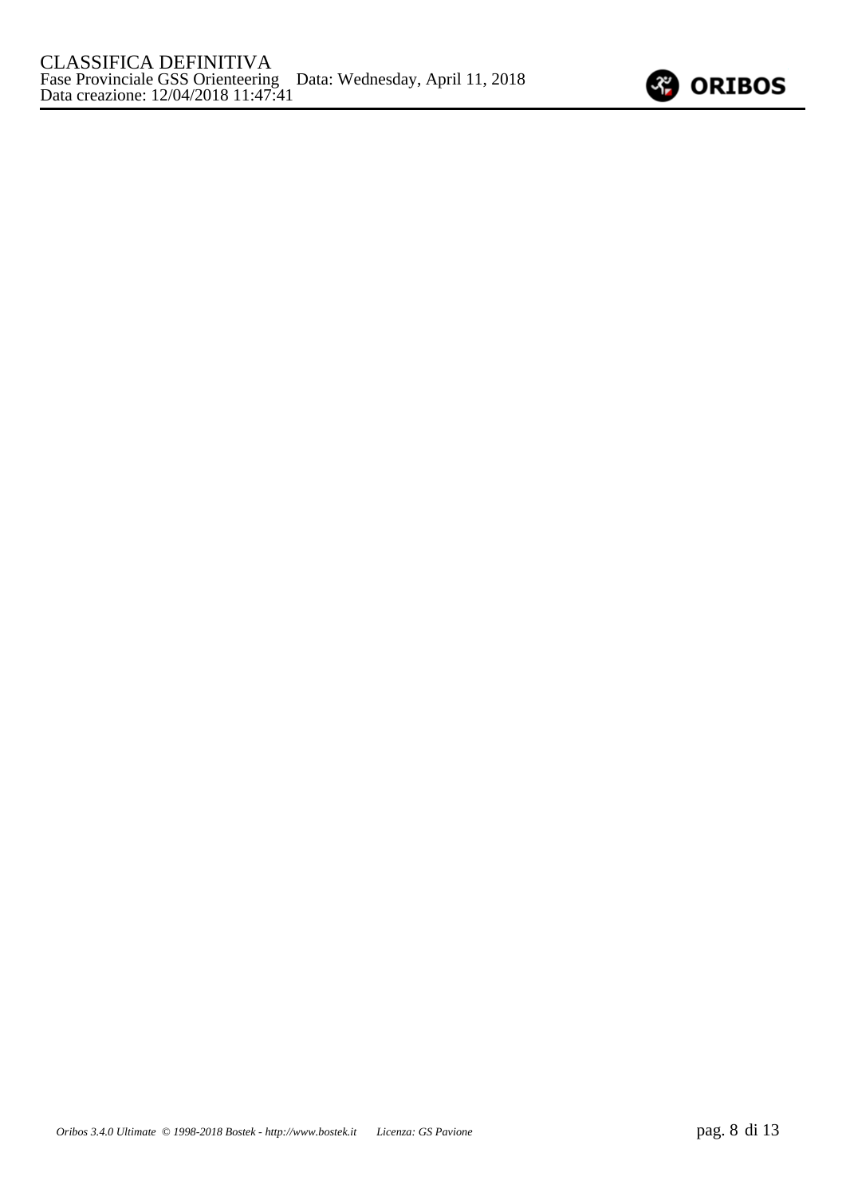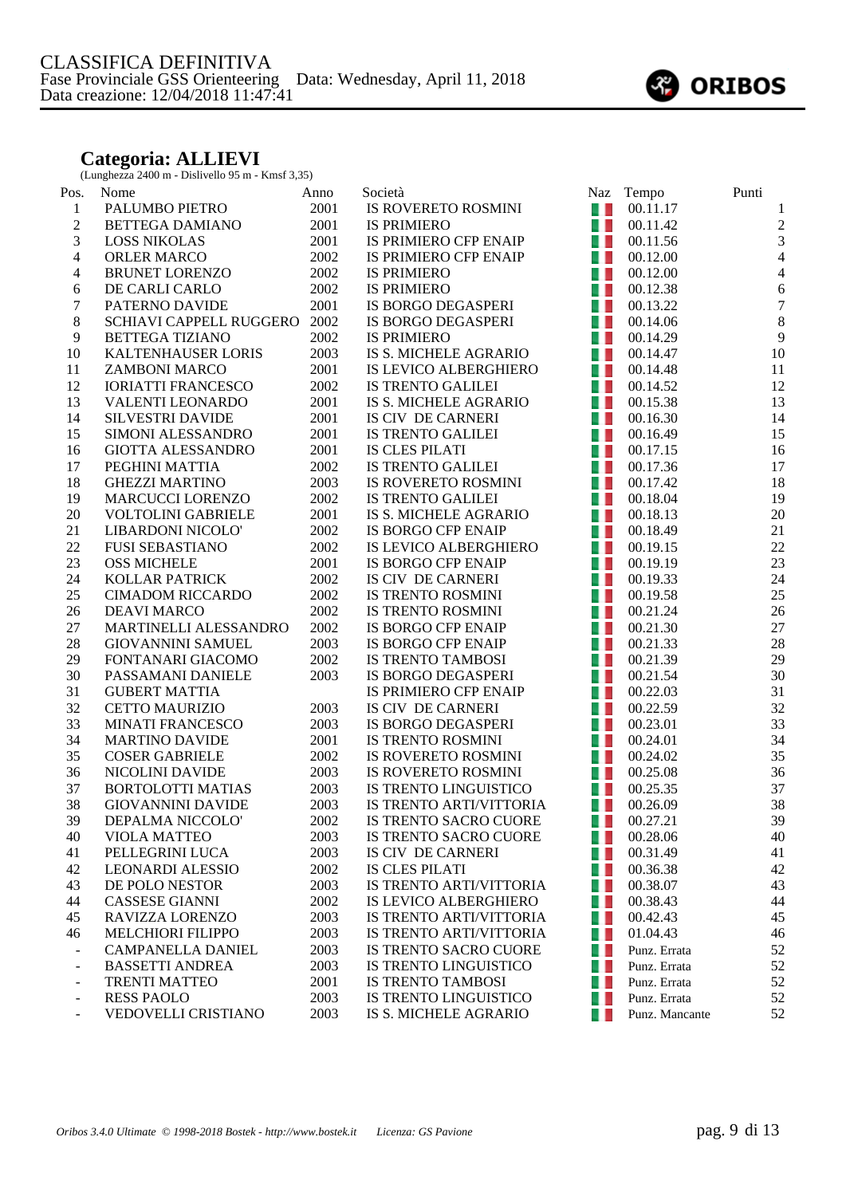### **Categoria: ALLIEVI**

(Lunghezza 2400 m - Dislivello 95 m - Kmsf 3,35)

| Pos.                     | Nome                      | Anno | Società                      | Naz  | Tempo          | Punti            |
|--------------------------|---------------------------|------|------------------------------|------|----------------|------------------|
| $\mathbf{1}$             | PALUMBO PIETRO            | 2001 | IS ROVERETO ROSMINI          | 41   | 00.11.17       | 1                |
| $\overline{c}$           | <b>BETTEGA DAMIANO</b>    | 2001 | <b>IS PRIMIERO</b>           | 41   | 00.11.42       | $\overline{2}$   |
| 3                        | <b>LOSS NIKOLAS</b>       | 2001 | IS PRIMIERO CFP ENAIP        | 41   | 00.11.56       | $\overline{3}$   |
| $\overline{4}$           | <b>ORLER MARCO</b>        | 2002 | <b>IS PRIMIERO CFP ENAIP</b> | 41   | 00.12.00       | $\overline{4}$   |
| $\overline{4}$           | <b>BRUNET LORENZO</b>     | 2002 | <b>IS PRIMIERO</b>           | 41   | 00.12.00       | $\overline{4}$   |
| 6                        | DE CARLI CARLO            | 2002 | <b>IS PRIMIERO</b>           | 4 L  | 00.12.38       | $\sqrt{6}$       |
| $\boldsymbol{7}$         | PATERNO DAVIDE            | 2001 | IS BORGO DEGASPERI           | a L  | 00.13.22       | $\boldsymbol{7}$ |
| 8                        | SCHIAVI CAPPELL RUGGERO   | 2002 | IS BORGO DEGASPERI           | 41   | 00.14.06       | $\,8\,$          |
| 9                        | <b>BETTEGA TIZIANO</b>    | 2002 | <b>IS PRIMIERO</b>           | 4 L  | 00.14.29       | 9                |
| 10                       | KALTENHAUSER LORIS        | 2003 | IS S. MICHELE AGRARIO        | 4 L  | 00.14.47       | $10\,$           |
| 11                       | <b>ZAMBONI MARCO</b>      | 2001 | IS LEVICO ALBERGHIERO        | 41   | 00.14.48       | 11               |
| 12                       | <b>IORIATTI FRANCESCO</b> | 2002 | <b>IS TRENTO GALILEI</b>     | 41   | 00.14.52       | 12               |
| 13                       | VALENTI LEONARDO          | 2001 | IS S. MICHELE AGRARIO        | 41   | 00.15.38       | 13               |
| 14                       | <b>SILVESTRI DAVIDE</b>   | 2001 | IS CIV DE CARNERI            | 41   | 00.16.30       | 14               |
| 15                       | SIMONI ALESSANDRO         | 2001 | <b>IS TRENTO GALILEI</b>     | 41   | 00.16.49       | 15               |
| 16                       | <b>GIOTTA ALESSANDRO</b>  | 2001 | <b>IS CLES PILATI</b>        | 4 L  | 00.17.15       | 16               |
| 17                       | PEGHINI MATTIA            | 2002 | IS TRENTO GALILEI            | 41   | 00.17.36       | 17               |
| 18                       | <b>GHEZZI MARTINO</b>     | 2003 | IS ROVERETO ROSMINI          | a L  | 00.17.42       | 18               |
| 19                       | MARCUCCI LORENZO          | 2002 | IS TRENTO GALILEI            | a. L | 00.18.04       | 19               |
| 20                       | <b>VOLTOLINI GABRIELE</b> | 2001 | IS S. MICHELE AGRARIO        | a. L | 00.18.13       | 20               |
| 21                       | LIBARDONI NICOLO'         | 2002 | IS BORGO CFP ENAIP           | 41   | 00.18.49       | 21               |
| $22\,$                   | <b>FUSI SEBASTIANO</b>    | 2002 | IS LEVICO ALBERGHIERO        | 41   | 00.19.15       | 22               |
| 23                       | <b>OSS MICHELE</b>        | 2001 | IS BORGO CFP ENAIP           | a. L | 00.19.19       | 23               |
| 24                       | <b>KOLLAR PATRICK</b>     | 2002 | IS CIV DE CARNERI            | 41   | 00.19.33       | 24               |
| 25                       | <b>CIMADOM RICCARDO</b>   | 2002 | IS TRENTO ROSMINI            | 41   | 00.19.58       | 25               |
| 26                       | <b>DEAVI MARCO</b>        | 2002 | IS TRENTO ROSMINI            | a D  | 00.21.24       | 26               |
| 27                       | MARTINELLI ALESSANDRO     | 2002 | IS BORGO CFP ENAIP           | a. L | 00.21.30       | 27               |
| $28\,$                   | <b>GIOVANNINI SAMUEL</b>  | 2003 | IS BORGO CFP ENAIP           | a. L | 00.21.33       | $28\,$           |
| 29                       | FONTANARI GIACOMO         | 2002 | IS TRENTO TAMBOSI            | 41   | 00.21.39       | 29               |
| 30                       | PASSAMANI DANIELE         | 2003 | IS BORGO DEGASPERI           | 41   | 00.21.54       | 30               |
| 31                       | <b>GUBERT MATTIA</b>      |      | IS PRIMIERO CFP ENAIP        | 41   | 00.22.03       | 31               |
| 32                       | <b>CETTO MAURIZIO</b>     | 2003 | IS CIV DE CARNERI            | 41   | 00.22.59       | 32               |
| 33                       | <b>MINATI FRANCESCO</b>   | 2003 | IS BORGO DEGASPERI           | 41   | 00.23.01       | 33               |
| 34                       | <b>MARTINO DAVIDE</b>     | 2001 | <b>IS TRENTO ROSMINI</b>     | 41   | 00.24.01       | 34               |
| 35                       | <b>COSER GABRIELE</b>     | 2002 | IS ROVERETO ROSMINI          | H D  | 00.24.02       | 35               |
| 36                       | NICOLINI DAVIDE           | 2003 | IS ROVERETO ROSMINI          | a. L | 00.25.08       | 36               |
| 37                       | <b>BORTOLOTTI MATIAS</b>  | 2003 | IS TRENTO LINGUISTICO        | a. L | 00.25.35       | 37               |
| 38                       | <b>GIOVANNINI DAVIDE</b>  | 2003 | IS TRENTO ARTI/VITTORIA      | a L  | 00.26.09       | 38               |
| 39                       | DEPALMA NICCOLO'          | 2002 | IS TRENTO SACRO CUORE        |      | 00.27.21       | 39               |
| 40                       | <b>VIOLA MATTEO</b>       | 2003 | IS TRENTO SACRO CUORE        |      | 00.28.06       | 40               |
| 41                       | PELLEGRINI LUCA           | 2003 | IS CIV DE CARNERI            | u l  | 00.31.49       | 41               |
| 42                       | <b>LEONARDI ALESSIO</b>   | 2002 | IS CLES PILATI               | U J  | 00.36.38       | 42               |
| 43                       | DE POLO NESTOR            | 2003 | IS TRENTO ARTI/VITTORIA      | . .  | 00.38.07       | 43               |
| 44                       | <b>CASSESE GIANNI</b>     | 2002 | IS LEVICO ALBERGHIERO        | u p  | 00.38.43       | 44               |
| 45                       | RAVIZZA LORENZO           | 2003 | IS TRENTO ARTI/VITTORIA      | 41   | 00.42.43       | 45               |
| 46                       | <b>MELCHIORI FILIPPO</b>  | 2003 | IS TRENTO ARTI/VITTORIA      | u u  | 01.04.43       | 46               |
| $\bar{\phantom{a}}$      | <b>CAMPANELLA DANIEL</b>  | 2003 | IS TRENTO SACRO CUORE        | w    | Punz. Errata   | 52               |
| $\overline{\phantom{m}}$ | <b>BASSETTI ANDREA</b>    | 2003 | IS TRENTO LINGUISTICO        |      | Punz. Errata   | 52               |
| $\overline{\phantom{a}}$ | <b>TRENTI MATTEO</b>      | 2001 | <b>IS TRENTO TAMBOSI</b>     |      | Punz. Errata   | 52               |
| $\overline{\phantom{m}}$ | <b>RESS PAOLO</b>         | 2003 | IS TRENTO LINGUISTICO        |      | Punz. Errata   | 52               |
| $\overline{\phantom{a}}$ | VEDOVELLI CRISTIANO       | 2003 | IS S. MICHELE AGRARIO        |      | Punz. Mancante | 52               |

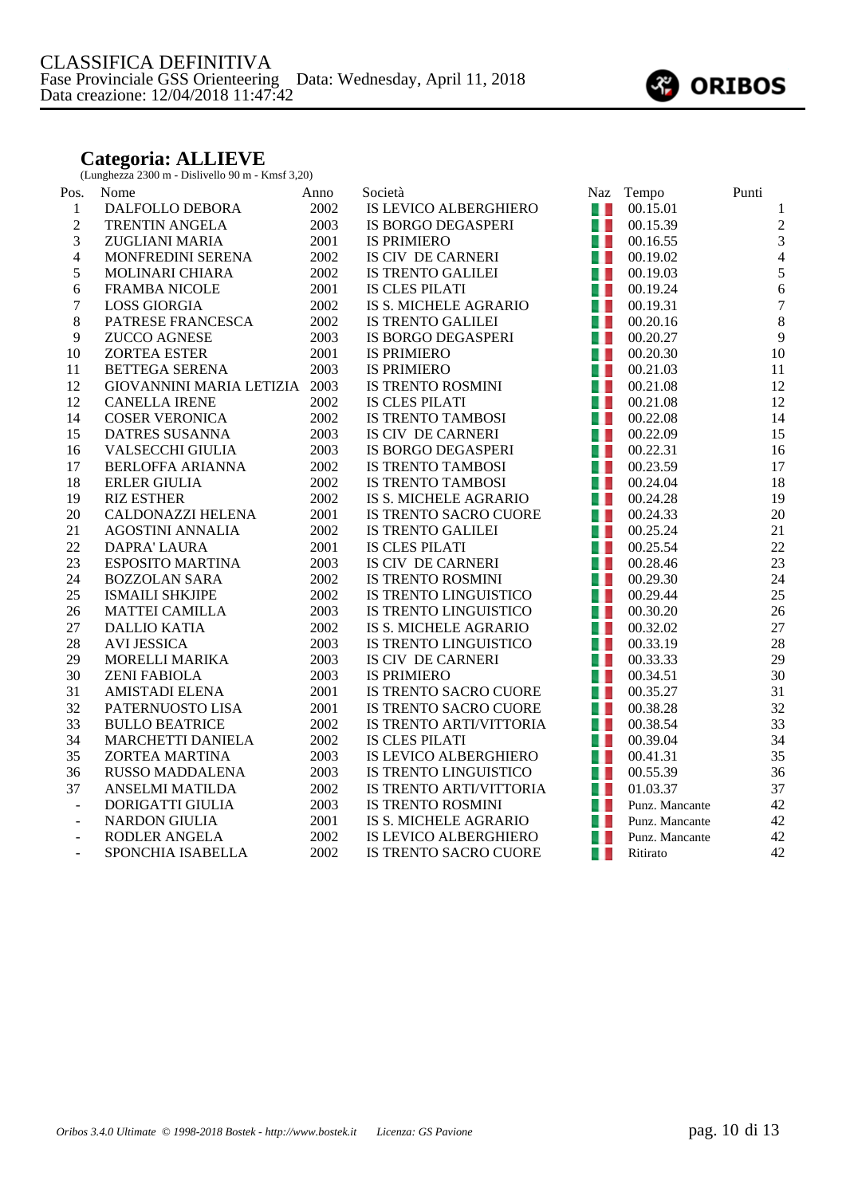#### **Categoria: ALLIEVE**

(Lunghezza 2300 m - Dislivello 90 m - Kmsf 3,20)

| Pos.                     | Nome                     | Anno | Società                      | <b>Naz</b>     | Tempo          | Punti            |
|--------------------------|--------------------------|------|------------------------------|----------------|----------------|------------------|
| $\mathbf{1}$             | DALFOLLO DEBORA          | 2002 | IS LEVICO ALBERGHIERO        | $\blacksquare$ | 00.15.01       | 1                |
| $\overline{c}$           | <b>TRENTIN ANGELA</b>    | 2003 | IS BORGO DEGASPERI           | a. L           | 00.15.39       | $\sqrt{2}$       |
| 3                        | ZUGLIANI MARIA           | 2001 | <b>IS PRIMIERO</b>           | $\blacksquare$ | 00.16.55       | $\overline{3}$   |
| $\overline{4}$           | MONFREDINI SERENA        | 2002 | IS CIV DE CARNERI            | a. L           | 00.19.02       | $\overline{4}$   |
| 5                        | MOLINARI CHIARA          | 2002 | IS TRENTO GALILEI            | a L            | 00.19.03       | 5                |
| 6                        | FRAMBA NICOLE            | 2001 | <b>IS CLES PILATI</b>        | a. L           | 00.19.24       | $\sqrt{6}$       |
| $\tau$                   | <b>LOSS GIORGIA</b>      | 2002 | IS S. MICHELE AGRARIO        | $\blacksquare$ | 00.19.31       | $\boldsymbol{7}$ |
| $8\,$                    | PATRESE FRANCESCA        | 2002 | <b>IS TRENTO GALILEI</b>     | $\blacksquare$ | 00.20.16       | $\,8\,$          |
| 9                        | <b>ZUCCO AGNESE</b>      | 2003 | IS BORGO DEGASPERI           | a L            | 00.20.27       | 9                |
| $10\,$                   | <b>ZORTEA ESTER</b>      | 2001 | <b>IS PRIMIERO</b>           | a. L           | 00.20.30       | 10               |
| 11                       | <b>BETTEGA SERENA</b>    | 2003 | <b>IS PRIMIERO</b>           | u L            | 00.21.03       | 11               |
| 12                       | GIOVANNINI MARIA LETIZIA | 2003 | <b>IS TRENTO ROSMINI</b>     | a. L           | 00.21.08       | 12               |
| 12                       | <b>CANELLA IRENE</b>     | 2002 | <b>IS CLES PILATI</b>        | a. L           | 00.21.08       | 12               |
| 14                       | <b>COSER VERONICA</b>    | 2002 | IS TRENTO TAMBOSI            | $\blacksquare$ | 00.22.08       | 14               |
| 15                       | DATRES SUSANNA           | 2003 | IS CIV DE CARNERI            | $\blacksquare$ | 00.22.09       | 15               |
| 16                       | VALSECCHI GIULIA         | 2003 | IS BORGO DEGASPERI           | $\blacksquare$ | 00.22.31       | 16               |
| 17                       | <b>BERLOFFA ARIANNA</b>  | 2002 | IS TRENTO TAMBOSI            | a. L           | 00.23.59       | 17               |
| 18                       | <b>ERLER GIULIA</b>      | 2002 | <b>IS TRENTO TAMBOSI</b>     | a. L           | 00.24.04       | 18               |
| 19                       | <b>RIZ ESTHER</b>        | 2002 | IS S. MICHELE AGRARIO        | a. L           | 00.24.28       | 19               |
| 20                       | CALDONAZZI HELENA        | 2001 | IS TRENTO SACRO CUORE        | $\blacksquare$ | 00.24.33       | 20               |
| 21                       | <b>AGOSTINI ANNALIA</b>  | 2002 | <b>IS TRENTO GALILEI</b>     | a L            | 00.25.24       | 21               |
| 22                       | <b>DAPRA' LAURA</b>      | 2001 | <b>IS CLES PILATI</b>        | a. L           | 00.25.54       | 22               |
| 23                       | <b>ESPOSITO MARTINA</b>  | 2003 | IS CIV DE CARNERI            | u L            | 00.28.46       | 23               |
| 24                       | <b>BOZZOLAN SARA</b>     | 2002 | <b>IS TRENTO ROSMINI</b>     | a L            | 00.29.30       | 24               |
| 25                       | <b>ISMAILI SHKJIPE</b>   | 2002 | IS TRENTO LINGUISTICO        | 41             | 00.29.44       | 25               |
| 26                       | <b>MATTEI CAMILLA</b>    | 2003 | IS TRENTO LINGUISTICO        | a. L           | 00.30.20       | 26               |
| 27                       | <b>DALLIO KATIA</b>      | 2002 | IS S. MICHELE AGRARIO        | u.             | 00.32.02       | 27               |
| $28\,$                   | <b>AVI JESSICA</b>       | 2003 | IS TRENTO LINGUISTICO        | $\blacksquare$ | 00.33.19       | 28               |
| 29                       | <b>MORELLI MARIKA</b>    | 2003 | IS CIV DE CARNERI            | a. L           | 00.33.33       | 29               |
| 30                       | <b>ZENI FABIOLA</b>      | 2003 | <b>IS PRIMIERO</b>           | 41             | 00.34.51       | 30               |
| 31                       | <b>AMISTADI ELENA</b>    | 2001 | IS TRENTO SACRO CUORE        | $\blacksquare$ | 00.35.27       | 31               |
| 32                       | PATERNUOSTO LISA         | 2001 | <b>IS TRENTO SACRO CUORE</b> | $\blacksquare$ | 00.38.28       | 32               |
| 33                       | <b>BULLO BEATRICE</b>    | 2002 | IS TRENTO ARTI/VITTORIA      | - 1            | 00.38.54       | 33               |
| 34                       | <b>MARCHETTI DANIELA</b> | 2002 | <b>IS CLES PILATI</b>        | 41             | 00.39.04       | 34               |
| 35                       | <b>ZORTEA MARTINA</b>    | 2003 | IS LEVICO ALBERGHIERO        | u.             | 00.41.31       | 35               |
| 36                       | RUSSO MADDALENA          | 2003 | IS TRENTO LINGUISTICO        | a. L           | 00.55.39       | 36               |
| 37                       | <b>ANSELMI MATILDA</b>   | 2002 | IS TRENTO ARTI/VITTORIA      | a. L           | 01.03.37       | 37               |
| $\Box$                   | DORIGATTI GIULIA         | 2003 | <b>IS TRENTO ROSMINI</b>     | a L            | Punz. Mancante | 42               |
| $\overline{\phantom{a}}$ | <b>NARDON GIULIA</b>     | 2001 | IS S. MICHELE AGRARIO        | a. L           | Punz. Mancante | 42               |
| $\overline{\phantom{a}}$ | RODLER ANGELA            | 2002 | IS LEVICO ALBERGHIERO        | . .            | Punz. Mancante | 42               |
|                          | SPONCHIA ISABELLA        | 2002 | IS TRENTO SACRO CUORE        | . .            | Ritirato       | 42               |
|                          |                          |      |                              |                |                |                  |

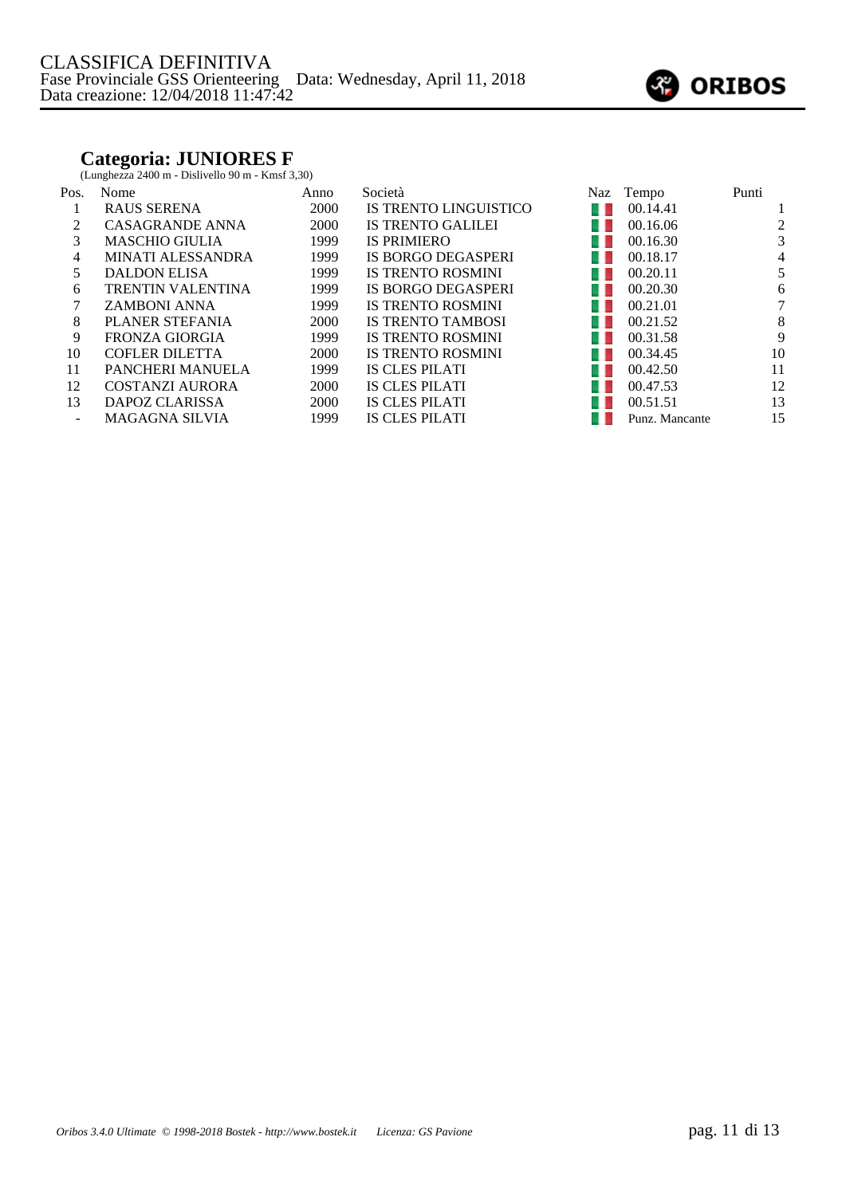### **Categoria: JUNIORES F**

(Lunghezza 2400 m - Dislivello 90 m - Kmsf 3,30)

| Pos. | Nome                     | Anno        | Società                  | Naz | Tempo          | Punti  |
|------|--------------------------|-------------|--------------------------|-----|----------------|--------|
|      | <b>RAUS SERENA</b>       | 2000        | IS TRENTO LINGUISTICO    |     | 00.14.41       |        |
| 2    | <b>CASAGRANDE ANNA</b>   | 2000        | <b>IS TRENTO GALILEI</b> |     | 00.16.06       | 2      |
| 3    | MASCHIO GIULIA           | 1999        | IS PRIMIERO              |     | 00.16.30       | 3      |
| 4    | <b>MINATI ALESSANDRA</b> | 1999        | IS BORGO DEGASPERI       |     | 00.18.17       | 4      |
| 5.   | DALDON ELISA             | 1999        | <b>IS TRENTO ROSMINI</b> |     | 00.20.11       | 5      |
| 6    | <b>TRENTIN VALENTINA</b> | 1999        | IS BORGO DEGASPERI       |     | 00.20.30       | 6      |
|      | ZAMBONI ANNA             | 1999        | <b>IS TRENTO ROSMINI</b> |     | 00.21.01       | $\tau$ |
| 8    | PLANER STEFANIA          | <b>2000</b> | <b>IS TRENTO TAMBOSI</b> |     | 00.21.52       | 8      |
| 9    | <b>FRONZA GIORGIA</b>    | 1999        | <b>IS TRENTO ROSMINI</b> | . . | 00.31.58       | 9      |
| 10   | <b>COFLER DILETTA</b>    | 2000        | <b>IS TRENTO ROSMINI</b> |     | 00.34.45       | 10     |
| 11   | PANCHERI MANUELA         | 1999        | IS CLES PILATI           |     | 00.42.50       | 11     |
| 12   | <b>COSTANZI AURORA</b>   | 2000        | IS CLES PILATI           |     | 00.47.53       | 12     |
| 13   | DAPOZ CLARISSA           | <b>2000</b> | IS CLES PILATI           |     | 00.51.51       | 13     |
|      | MAGAGNA SILVIA           | 1999        | IS CLES PILATI           |     | Punz. Mancante | 15     |

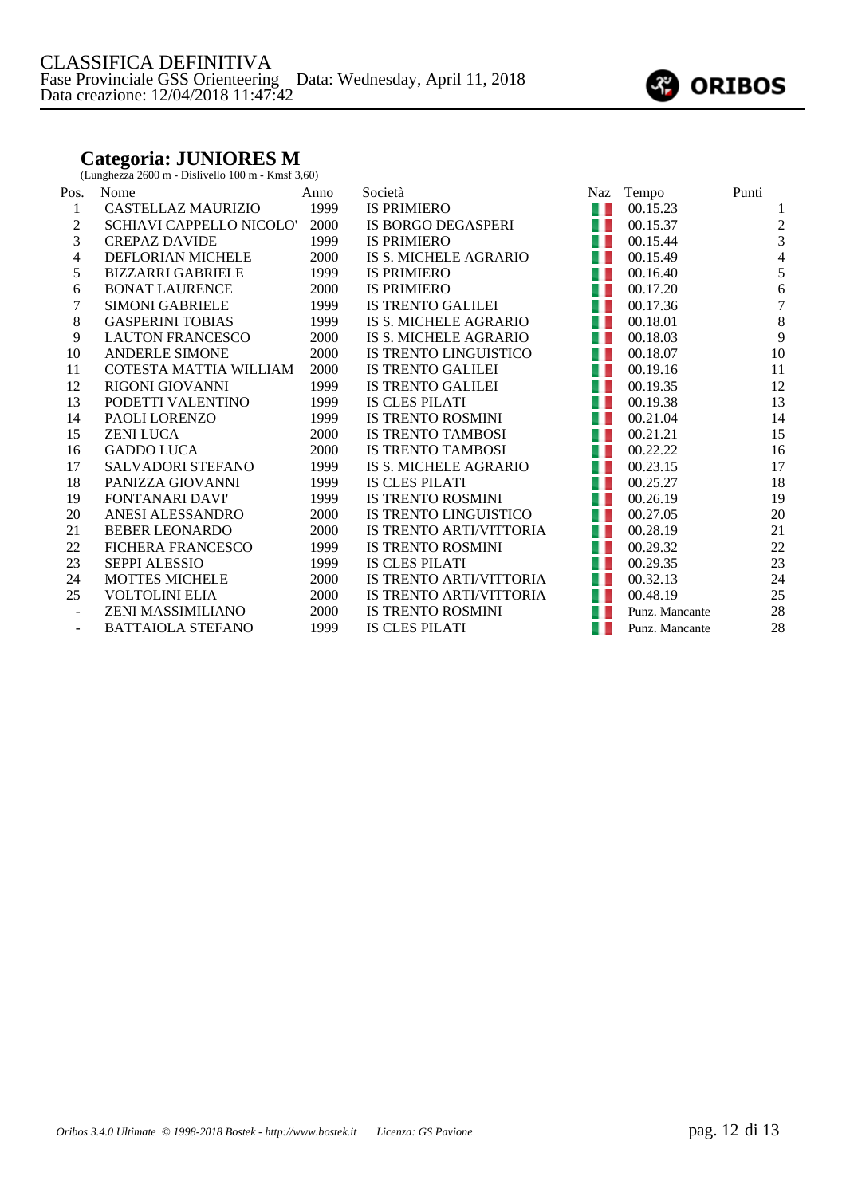#### **Categoria: JUNIORES M**

(Lunghezza 2600 m - Dislivello 100 m - Kmsf 3,60)

| Pos.                     | Nome                      | Anno | Società                        | Naz             | Tempo          | Punti          |
|--------------------------|---------------------------|------|--------------------------------|-----------------|----------------|----------------|
| 1                        | <b>CASTELLAZ MAURIZIO</b> | 1999 | <b>IS PRIMIERO</b>             | <b>ALCOHOL:</b> | 00.15.23       |                |
| 2                        | SCHIAVI CAPPELLO NICOLO'  | 2000 | IS BORGO DEGASPERI             | 41              | 00.15.37       | $\mathfrak{2}$ |
| 3                        | <b>CREPAZ DAVIDE</b>      | 1999 | <b>IS PRIMIERO</b>             | 41              | 00.15.44       | 3              |
| 4                        | <b>DEFLORIAN MICHELE</b>  | 2000 | IS S. MICHELE AGRARIO          | 41              | 00.15.49       | $\overline{4}$ |
| 5                        | <b>BIZZARRI GABRIELE</b>  | 1999 | <b>IS PRIMIERO</b>             | 41              | 00.16.40       | 5              |
| 6                        | <b>BONAT LAURENCE</b>     | 2000 | <b>IS PRIMIERO</b>             | 41              | 00.17.20       | 6              |
| 7                        | <b>SIMONI GABRIELE</b>    | 1999 | <b>IS TRENTO GALILEI</b>       | a. L            | 00.17.36       | $\tau$         |
| 8                        | <b>GASPERINI TOBIAS</b>   | 1999 | IS S. MICHELE AGRARIO          | 41              | 00.18.01       | 8              |
| 9                        | <b>LAUTON FRANCESCO</b>   | 2000 | IS S. MICHELE AGRARIO          | 41              | 00.18.03       | 9              |
| 10                       | <b>ANDERLE SIMONE</b>     | 2000 | IS TRENTO LINGUISTICO          | 41              | 00.18.07       | 10             |
| 11                       | COTESTA MATTIA WILLIAM    | 2000 | <b>IS TRENTO GALILEI</b>       | 41              | 00.19.16       | 11             |
| 12                       | <b>RIGONI GIOVANNI</b>    | 1999 | <b>IS TRENTO GALILEI</b>       | 41              | 00.19.35       | 12             |
| 13                       | PODETTI VALENTINO         | 1999 | <b>IS CLES PILATI</b>          | 41              | 00.19.38       | 13             |
| 14                       | <b>PAOLI LORENZO</b>      | 1999 | <b>IS TRENTO ROSMINI</b>       | 41              | 00.21.04       | 14             |
| 15                       | <b>ZENI LUCA</b>          | 2000 | <b>IS TRENTO TAMBOSI</b>       | 41              | 00.21.21       | 15             |
| 16                       | <b>GADDO LUCA</b>         | 2000 | <b>IS TRENTO TAMBOSI</b>       | 41              | 00.22.22       | 16             |
| 17                       | <b>SALVADORI STEFANO</b>  | 1999 | IS S. MICHELE AGRARIO          | 41              | 00.23.15       | 17             |
| 18                       | PANIZZA GIOVANNI          | 1999 | <b>IS CLES PILATI</b>          | 41              | 00.25.27       | 18             |
| 19                       | <b>FONTANARI DAVI'</b>    | 1999 | <b>IS TRENTO ROSMINI</b>       | a. L            | 00.26.19       | 19             |
| 20                       | ANESI ALESSANDRO          | 2000 | <b>IS TRENTO LINGUISTICO</b>   | 41              | 00.27.05       | 20             |
| 21                       | <b>BEBER LEONARDO</b>     | 2000 | IS TRENTO ARTI/VITTORIA        | a L             | 00.28.19       | 21             |
| 22                       | <b>FICHERA FRANCESCO</b>  | 1999 | <b>IS TRENTO ROSMINI</b>       | 41              | 00.29.32       | 22             |
| 23                       | SEPPI ALESSIO             | 1999 | <b>IS CLES PILATI</b>          | 41              | 00.29.35       | 23             |
| 24                       | <b>MOTTES MICHELE</b>     | 2000 | IS TRENTO ARTI/VITTORIA        | 41              | 00.32.13       | 24             |
| 25                       | <b>VOLTOLINI ELIA</b>     | 2000 | <b>IS TRENTO ARTI/VITTORIA</b> | 41              | 00.48.19       | 25             |
| $\overline{\phantom{a}}$ | <b>ZENI MASSIMILIANO</b>  | 2000 | <b>IS TRENTO ROSMINI</b>       | a s             | Punz. Mancante | 28             |
| $\overline{\phantom{a}}$ | <b>BATTAIOLA STEFANO</b>  | 1999 | <b>IS CLES PILATI</b>          |                 | Punz. Mancante | 28             |